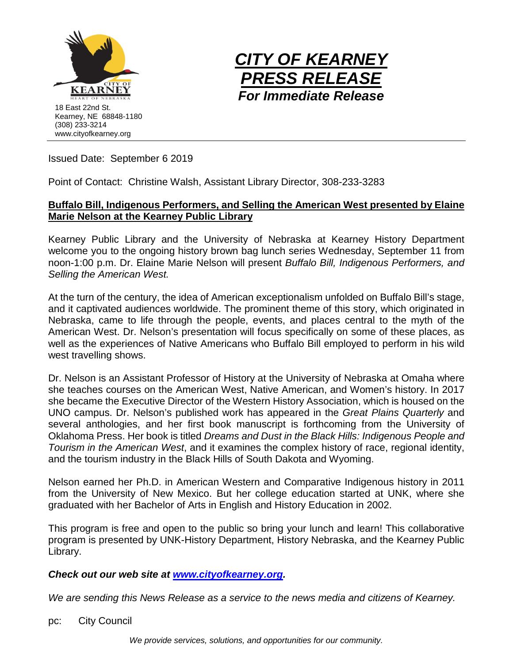



Issued Date: September 6 2019

Point of Contact: Christine Walsh, Assistant Library Director, 308-233-3283

## **Buffalo Bill, Indigenous Performers, and Selling the American West presented by Elaine Marie Nelson at the Kearney Public Library**

Kearney Public Library and the University of Nebraska at Kearney History Department welcome you to the ongoing history brown bag lunch series Wednesday, September 11 from noon-1:00 p.m. Dr. Elaine Marie Nelson will present *Buffalo Bill, Indigenous Performers, and Selling the American West.*

At the turn of the century, the idea of American exceptionalism unfolded on Buffalo Bill's stage, and it captivated audiences worldwide. The prominent theme of this story, which originated in Nebraska, came to life through the people, events, and places central to the myth of the American West. Dr. Nelson's presentation will focus specifically on some of these places, as well as the experiences of Native Americans who Buffalo Bill employed to perform in his wild west travelling shows.

Dr. Nelson is an Assistant Professor of History at the University of Nebraska at Omaha where she teaches courses on the American West, Native American, and Women's history. In 2017 she became the Executive Director of the Western History Association, which is housed on the UNO campus. Dr. Nelson's published work has appeared in the *Great Plains Quarterly* and several anthologies, and her first book manuscript is forthcoming from the University of Oklahoma Press. Her book is titled *Dreams and Dust in the Black Hills: Indigenous People and Tourism in the American West*, and it examines the complex history of race, regional identity, and the tourism industry in the Black Hills of South Dakota and Wyoming.

Nelson earned her Ph.D. in American Western and Comparative Indigenous history in 2011 from the University of New Mexico. But her college education started at UNK, where she graduated with her Bachelor of Arts in English and History Education in 2002.

This program is free and open to the public so bring your lunch and learn! This collaborative program is presented by UNK-History Department, History Nebraska, and the Kearney Public Library.

## *Check out our web site at [www.cityofkearney.org.](http://www.cityofkearney.org/)*

*We are sending this News Release as a service to the news media and citizens of Kearney.*

pc: City Council